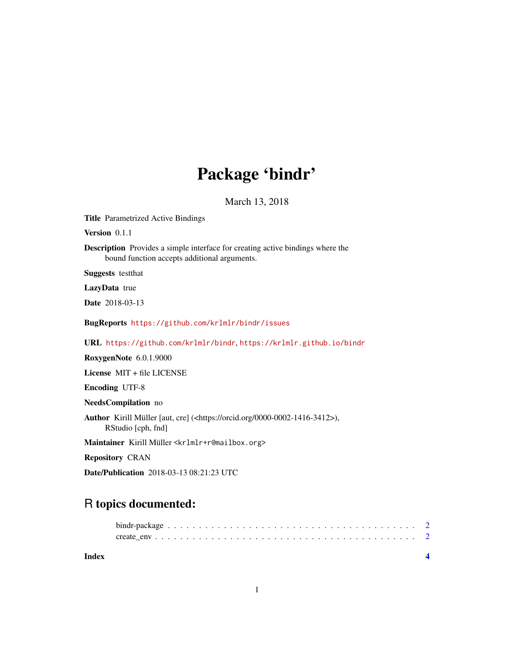## Package 'bindr'

March 13, 2018

<span id="page-0-0"></span>Title Parametrized Active Bindings

Version 0.1.1

Description Provides a simple interface for creating active bindings where the bound function accepts additional arguments.

Suggests testthat

LazyData true

Date 2018-03-13

BugReports <https://github.com/krlmlr/bindr/issues>

URL <https://github.com/krlmlr/bindr>, <https://krlmlr.github.io/bindr>

RoxygenNote 6.0.1.9000

License MIT + file LICENSE

Encoding UTF-8

NeedsCompilation no

Author Kirill Müller [aut, cre] (<https://orcid.org/0000-0002-1416-3412>), RStudio [cph, fnd]

Maintainer Kirill Müller <krlmlr+r@mailbox.org>

Repository CRAN

Date/Publication 2018-03-13 08:21:23 UTC

## R topics documented:

| Index |  |  |  |  |  |  |  |  |  |  |  |  |  |  |  |  |  |  |  |  |
|-------|--|--|--|--|--|--|--|--|--|--|--|--|--|--|--|--|--|--|--|--|
|       |  |  |  |  |  |  |  |  |  |  |  |  |  |  |  |  |  |  |  |  |
|       |  |  |  |  |  |  |  |  |  |  |  |  |  |  |  |  |  |  |  |  |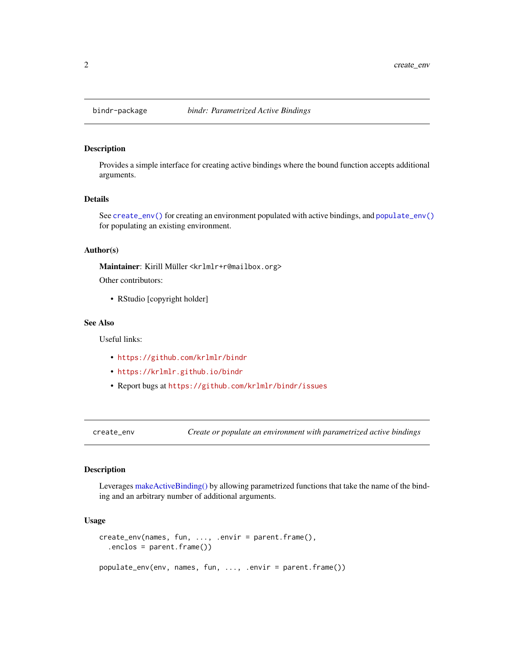<span id="page-1-0"></span>

#### Description

Provides a simple interface for creating active bindings where the bound function accepts additional arguments.

#### Details

See [create\\_env\(\)](#page-1-1) for creating an environment populated with active bindings, and [populate\\_env\(\)](#page-1-2) for populating an existing environment.

#### Author(s)

Maintainer: Kirill Müller <krlmlr+r@mailbox.org>

Other contributors:

• RStudio [copyright holder]

#### See Also

Useful links:

- <https://github.com/krlmlr/bindr>
- <https://krlmlr.github.io/bindr>
- Report bugs at <https://github.com/krlmlr/bindr/issues>

<span id="page-1-1"></span>create\_env *Create or populate an environment with parametrized active bindings*

#### <span id="page-1-2"></span>Description

Leverages [makeActiveBinding\(\)](#page-0-0) by allowing parametrized functions that take the name of the binding and an arbitrary number of additional arguments.

#### Usage

```
create_env(names, fun, ..., .envir = parent.frame(),
  .enclos = parent.frame())
populate_env(env, names, fun, ..., .envir = parent.frame())
```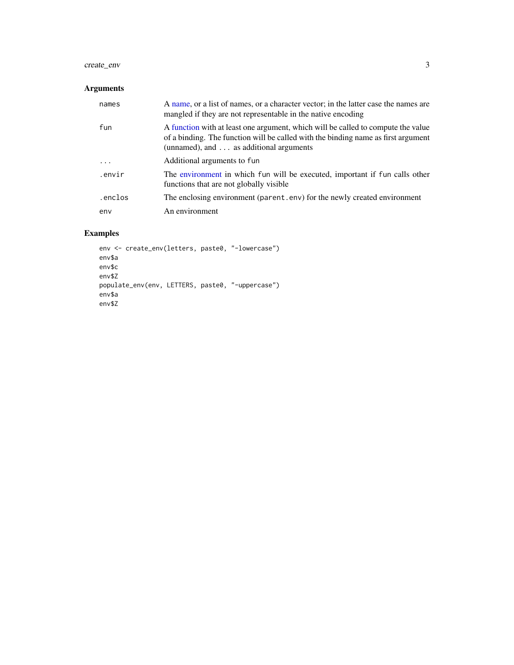#### <span id="page-2-0"></span>create\_env 3

#### Arguments

| names   | A name, or a list of names, or a character vector; in the latter case the names are<br>mangled if they are not representable in the native encoding                                                                     |
|---------|-------------------------------------------------------------------------------------------------------------------------------------------------------------------------------------------------------------------------|
| fun     | A function with at least one argument, which will be called to compute the value<br>of a binding. The function will be called with the binding name as first argument<br>(unnamed), and $\dots$ as additional arguments |
| $\cdot$ | Additional arguments to fun                                                                                                                                                                                             |
| .envir  | The environment in which fun will be executed, important if fun calls other<br>functions that are not globally visible                                                                                                  |
| .enclos | The enclosing environment (parent . env) for the newly created environment                                                                                                                                              |
| env     | An environment                                                                                                                                                                                                          |

### Examples

```
env <- create_env(letters, paste0, "-lowercase")
env$a
env$c
env$Z
populate_env(env, LETTERS, paste0, "-uppercase")
env$a
env$Z
```